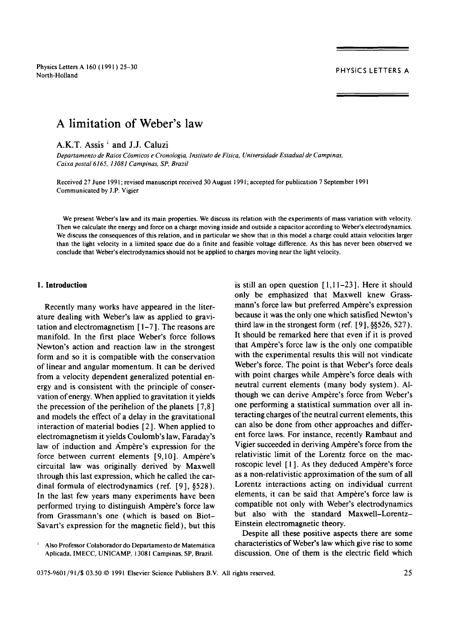Physics Letters A 160 ( 1991 ) 25-30 nysics Ections A 100 (1991) 23–30<br>North-Holland PHYSICS LETTERS A

# **A limitation of Weber's law**

A.K.T. Assis<sup>1</sup> and J.J. Caluzi

*Departamento de Raios C6smicos e Cronologia, Instituto de Fisica, Universidade Estadual de Campinas, Caixa postal 6165, 13081 Campinas, SP, Brazil* 

Received 27 June 1991; revised manuscript received 30 August 1991; accepted for publication 7 September 1991 Communicated by J.P. Vigier

We present Weber's law and its main properties. We discuss its relation with the experiments of mass variation with velocity. Then we calculate the energy and force on a charge moving inside and outside a capacitor according to Weber's electrodynamics. We discuss the consequences of this relation, and in particular we show that in this model a charge could attain velocities larger than the light velocity in a limited space due do a finite and feasible voltage difference. As this has never been observed we conclude that Weber's electrodynamics should not be applied to charges moving near the light velocity.

### **I. Introduction**

Recently many works have appeared in the literature dealing with Weber's law as applied to gravitation and electromagnetism [ 1-7 ]. The reasons are manifold. In the first place Weber's force follows Newton's action and reaction law in the strongest form and so it is compatible with the conservation of linear and angular momentum. It can be derived from a velocity dependent generalized potential energy and is consistent with the principle of conservation of energy. When applied to gravitation it yields the precession of the perihelion of the planets  $[7,8]$ and models the effect of a delay in the gravitational interaction of material bodies [2]. When applied to electromagnetism it yields Coulomb's law, Faraday's law of induction and Ampère's expression for the force between current elements  $[9,10]$ . Ampère's circuital law was originally derived by Maxwell through this last expression, which he called the cardinal formula of electrodynamics (ref.  $[9]$ , §528). In the last few years many experiments have been performed trying to distinguish Ampère's force law from Grassmann's one (which is based on Biot-Savart's expression for the magnetic field), but this is still an open question  $[1,11-23]$ . Here it should only be emphasized that Maxwell knew Grassmann's force law but preferred Ampère's expression because it was the only one which satisfied Newton's third law in the strongest form (ref. [9], §§526, 527). It should be remarked here that even if it is proved that Ampère's force law is the only one compatible with the experimental results this will not vindicate Weber's force. The point is that Weber's force deals with point charges while Ampère's force deals with neutral current elements (many body system). Although we can derive Ampère's force from Weber's one performing a statistical summation over all interacting charges of the neutral current elements, this can also be done from other approaches and different force laws. For instance, recently Rambaut and Vigier succeeded in deriving Ampère's force from the relativistic limit of the Lorentz force on the macroscopic level  $[1]$ . As they deduced Ampère's force as a non-relativistic approximation of the sum of all Lorentz interactions acting on individual current elements, it can be said that Ampère's force law is compatible not only with Weber's electrodynamics but also with the standard Maxwell-Lorentz-Einstein electromagnetic theory.

Despite all these positive aspects there are some characteristics of Weber's law which give rise to some discussion. One of them is the electric field which

Also Professor Colaborador do Departamento de Matemática Aplicada, IMECC, UNICAMP, 13081 Campinas, SP, Brazil.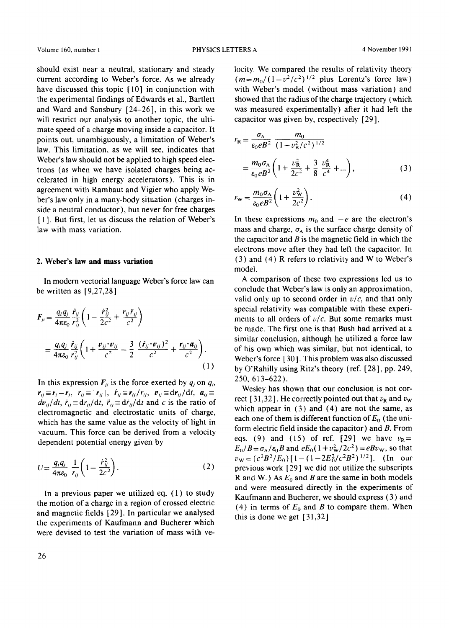should exist near a neutral, stationary and steady current according to Weber's force. As we already have discussed this topic [ 10] in conjunction with the experimental findings of Edwards et al., Bartlett and Ward and Sansbury [24-26], in this work we will restrict our analysis to another topic, the ultimate speed of a charge moving inside a capacitor. It points out, unambiguously, a limitation of Weber's law. This limitation, as we will see, indicates that Weber's law should not be applied to high speed electrons (as when we have isolated charges being accelerated in high energy accelerators). This is in agreement with Rambaut and Vigier who apply Weber's law only in a many-body situation (charges inside a neutral conductor), but never for free charges [1]. But first, let us discuss the relation of Weber's law with mass variation.

### **2. Weber's law and mass variation**

In modern vectorial language Weber's force law can be written as [9,27,28]

$$
F_{ji} = \frac{q_i q_j}{4\pi\epsilon_0} \frac{\hat{r}_{ij}}{r_{ij}^2} \left( 1 - \frac{\dot{r}_{ij}^2}{2c^2} + \frac{r_{ij}\ddot{r}_{ij}}{c^2} \right)
$$
  
= 
$$
\frac{q_i q_j}{4\pi\epsilon_0} \frac{\hat{r}_{ij}}{r_{ij}^2} \left( 1 + \frac{v_{ij} \cdot v_{ij}}{c^2} - \frac{3}{2} \frac{(\hat{r}_{ij} \cdot v_{ij})^2}{c^2} + \frac{r_{ij} \cdot a_{ij}}{c^2} \right).
$$
(1)

In this expression  $F_{ii}$  is the force exerted by  $q_i$  on  $q_i$ ,  $r_{ij} \equiv r_i - r_j$ ,  $r_{ij} \equiv |r_{ij}|$ ,  $\hat{r}_{ij} \equiv r_{ij}/r_{ij}$ ,  $v_{ij} \equiv dr_{ij}/dt$ ,  $a_{ij} \equiv$  $dv_{ij}/dt$ ,  $\dot{r}_{ij} \equiv dr_{ij}/dt$ ,  $\ddot{r}_{ij} \equiv d\dot{r}_{ij}/dt$  and *c* is the ratio of electromagnetic and electrostatic units of charge, which has the same value as the velocity of light in vacuum. This force can be derived from a velocity dependent potential energy given by

$$
U = \frac{q_i q_j}{4\pi\epsilon_0} \frac{1}{r_{ij}} \left( 1 - \frac{\dot{r}_{ij}^2}{2c^2} \right).
$$
 (2)

In a previous paper we utilized eq.  $(1)$  to study the motion of a charge in a region of crossed electric and magnetic fields [29 ]. In particular we analysed the experiments of Kaufmann and Bucherer which were devised to test the variation of mass with ve-

26

locity. We compared the results of relativity theory  $(m=m_0/(1-v^2/c^2)^{1/2}$  plus Lorentz's force law) with Weber's model (without mass variation) and showed that the radius of the charge trajectory (which was measured experimentally) after it had left the capacitor was given by, respectively [29 ],

$$
r_{\mathbf{R}} = \frac{\sigma_{\mathbf{A}}}{\varepsilon_{0} e B^{2}} \frac{m_{0}}{(1 - v_{\mathbf{R}}^{2}/c^{2})^{1/2}}
$$
  
= 
$$
\frac{m_{0} \sigma_{\mathbf{A}}}{\varepsilon_{0} e B^{2}} \left( 1 + \frac{v_{\mathbf{R}}^{2}}{2c^{2}} + \frac{3}{8} \frac{v_{\mathbf{R}}^{4}}{c^{4}} + ... \right),
$$
 (3)

$$
r_{\mathbf{w}} = \frac{m_0 \sigma_{\mathbf{A}}}{\varepsilon_0 e B^2} \left( 1 + \frac{v_{\mathbf{w}}^2}{2c^2} \right). \tag{4}
$$

In these expressions  $m_0$  and  $-e$  are the electron's mass and charge,  $\sigma_A$  is the surface charge density of the capacitor and  $B$  is the magnetic field in which the electrons move after they had left the capacitor. In (3) and (4) R refers to relativity and W to Weber's model.

A comparison of these two expressions led us to conclude that Weber's law is only an approximation, valid only up to second order in  $v/c$ , and that only special relativity was compatible with these experiments to all orders of  $v/c$ . But some remarks must be made. The first one is that Bush had arrived at a similar conclusion, although he utilized a force law of his own which was similar, but not identical, to Weber's force [ 30 ]. This problem was also discussed by O'Rahilly using Ritz's theory (ref. [28 ], pp. 249, 250, 613-622).

Wesley has shown that our conclusion is not correct [31,32]. He correctly pointed out that  $v_R$  and  $v_w$ which appear in (3) and (4) are not the same, as each one of them is different function of  $E_0$  (the uniform electric field inside the capacitor) and  $B$ . From eqs. (9) and (15) of ref. [29] we have  $v_R =$  $E_0/B = \sigma_A/\epsilon_0 B$  and  $eE_0(1 + v_W^2/2c^2) = eBv_W$ , so that  $v_{\text{w}} = (c^2B^2/E_0)[1-(1-2E_0^2/c^2B^2)^{1/2}]$ . (In our previous work [29] we did not utilize the subscripts R and W.) As  $E_0$  and B are the same in both models and were measured directly in the experiments of Kaufmann and Bucherer, we should express (3) and (4) in terms of  $E_0$  and B to compare them. When this is done we get [31,32]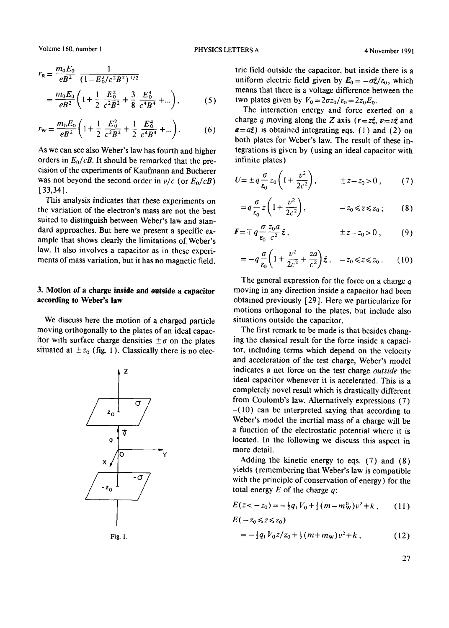Volume 160, number 1 **PHYSICS LETTERS A** 4 November 1991

$$
r_{\rm R} = \frac{m_0 E_0}{eB^2} \frac{1}{(1 - E_0^2/c^2 B^2)^{1/2}}
$$
  
= 
$$
\frac{m_0 E_0}{eB^2} \left( 1 + \frac{1}{2} \frac{E_0^2}{c^2 B^2} + \frac{3}{8} \frac{E_0^4}{c^4 B^4} + \dots \right),
$$
 (5)

$$
r_{\rm w} = \frac{m_0 E_0}{eB^2} \left( 1 + \frac{1}{2} \frac{E_0^2}{c^2 B^2} + \frac{1}{2} \frac{E_0^4}{c^4 B^4} + \dots \right). \tag{6}
$$

As we can see also Weber's law has fourth and higher orders in *Eo/cB.* It should be remarked that the precision of the experiments of Kaufmann and Bucherer was not beyond the second order in  $v/c$  (or  $E_0/cB$ ) [33,34].

This analysis indicates that these experiments on the variation of the electron's mass are not the best suited to distinguish between Weber's law and standard approaches. But here we present a specific example that shows clearly the limitations of. Weber's law. It also involves a capacitor as in these experiments of mass variation, but it has no magnetic field.

## **3. Motion of a charge inside and outside a capacitor according to Weber's law**

We discuss here the motion of a charged particle moving orthogonally to the plates of an ideal capacitor with surface charge densities  $\pm \sigma$  on the plates situated at  $\pm z_0$  (fig. 1). Classically there is no elec-



tric field outside the capacitor, but inside there is a uniform electric field given by  $E_0 = -\sigma \hat{z}/\varepsilon_0$ , which means that there is a voltage difference between the

two plates given by  $V_0 = 2\sigma z_0/\varepsilon_0 = 2z_0E_0$ .

The interaction energy and force exerted on a charge q moving along the Z axis ( $r=z\hat{z}$ ,  $v=v\hat{z}$  and  $a=a\hat{z}$ ) is obtained integrating eqs. (1) and (2) on both plates for Weber's law. The result of these integrations is given by (using an ideal capacitor with infinite plates)

$$
U = \pm q \frac{\sigma}{\epsilon_0} z_0 \left( 1 + \frac{v^2}{2c^2} \right), \qquad \pm z - z_0 > 0 , \qquad (7)
$$

$$
\varepsilon_0 \quad (2c^2) \quad \varepsilon_0 \quad (8)
$$
\n
$$
= q \frac{\sigma}{\varepsilon_0} z \left( 1 + \frac{v^2}{2c^2} \right), \qquad \varepsilon_0 \le z \le z_0; \qquad (8)
$$

$$
\boldsymbol{F} = \mp q \frac{\sigma}{\varepsilon_0} \frac{z_0 a}{c^2} \hat{\boldsymbol{z}} \,, \qquad \qquad \pm z - z_0 > 0 \,, \qquad (9)
$$

$$
= -q \frac{\sigma}{\varepsilon_0} \left( 1 + \frac{v^2}{2c^2} + \frac{za}{c^2} \right) \hat{z} , \quad -z_0 \leq z \leq z_0 . \tag{10}
$$

The general expression for the force on a charge q moving in any direction inside a capacitor had been obtained previously [29 ]. Here we particularize for motions orthogonal to the plates, but include also situations outside the capacitor.

The first remark to be made is that besides changing the classical result for the force inside a capacitor, including terms which depend on the velocity and acceleration of the test charge, Weber's model indicates a net force on the test charge *outside* the ideal capacitor whenever it is accelerated. This is a completely novel result which is drastically different from Coulomb's law. Alternatively expressions (7)  $-(10)$  can be interpreted saying that according to Weber's model the inertial mass of a charge will be a function of the electrostatic potential where it is located. In the following we discuss this aspect in more detail.

Adding the kinetic energy to eqs. (7) and (8) yields (remembering that Weber's law is compatible with the principle of conservation of energy) for the total energy  $E$  of the charge  $q$ :

$$
E(z < -z_0) = -\frac{1}{2}q_1V_0 + \frac{1}{2}(m - m_{\mathbf{W}}^0)v^2 + k, \qquad (11)
$$

$$
E(-z_0 \le z \le z_0)
$$
  
=  $-\frac{1}{2}q_1 V_0 z/z_0 + \frac{1}{2} (m + m_w) v^2 + k$ , (12)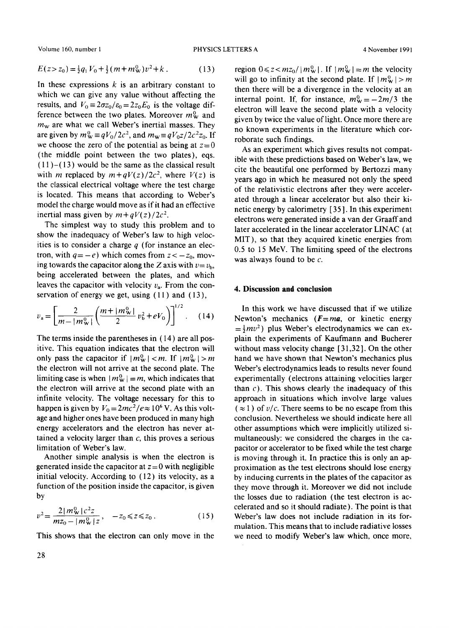Volume 160, number 1 **PHYSICS LETTERS A** 4 November 1991

$$
E(z > z_0) = \frac{1}{2}q_1 V_0 + \frac{1}{2}(m + m_W^0)v^2 + k. \tag{13}
$$

In these expressions  $k$  is an arbitrary constant to which we can give any value without affecting the results, and  $V_0 = 2\sigma z_0/\varepsilon_0 = 2z_0E_0$  is the voltage difference between the two plates. Moreover  $m_w^0$  and  $m<sub>w</sub>$  are what we call Weber's inertial masses. They are given by  $m_w^0 \equiv qV_0/2c^2$ , and  $m_w \equiv qV_0 z/2c^2z_0$ . If we choose the zero of the potential as being at  $z=0$ (the middle point between the two plates), eqs.  $(11)$ - $(13)$  would be the same as the classical result with *m* replaced by  $m+qV(z)/2c^2$ , where  $V(z)$  is the classical electrical voltage where the test charge is located. This means that according to Weber's model the charge would move as if it had an effective inertial mass given by  $m+qV(z)/2c^2$ .

The simplest way to study this problem and to show the inadequacy of Weber's law to high velocities is to consider a charge  $q$  (for instance an electron, with  $q=-e$ ) which comes from  $z<-z_0$ , moving towards the capacitor along the Z axis with  $v=v<sub>b</sub>$ , being accelerated between the plates, and which leaves the capacitor with velocity  $v_a$ . From the conservation of energy we get, using  $(11)$  and  $(13)$ ,

$$
v_{\rm a} = \left[\frac{2}{m - |m_{\rm w}^0|} \left(\frac{m + |m_{\rm w}^0|}{2} v_{\rm b}^2 + eV_0\right)\right]^{1/2}.\tag{14}
$$

The terms inside the parentheses in (14) are all positive. This equation indicates that the electron will only pass the capacitor if  $|m_{\mathbf{w}}^{0}| < m$ . If  $|m_{\mathbf{w}}^{0}| > m$ the electron will not arrive at the second plate. The limiting case is when  $|m_{\rm w}^0| = m$ , which indicates that the electron will arrive at the second plate with an infinite velocity. The voltage necessary for this to happen is given by  $V_0 = 2mc^2/e \approx 10^6$  V. As this voltage and higher ones have been produced in many high energy accelerators and the electron has never attained a velocity larger than  $c$ , this proves a serious limitation of Weber's law.

Another simple analysis is when the electron is generated inside the capacitor at  $z = 0$  with negligible initial velocity. According to (12) its velocity, as a function of the position inside the capacitor, is given by

$$
v^{2} = \frac{2|m_{w}^{0}|c^{2}z}{mz_{0} - |m_{w}^{0}|z}, \quad -z_{0} \le z \le z_{0}. \tag{15}
$$

This shows that the electron can only move in the

region  $0 \le z < m z_0 / |m_w^0|$ . If  $|m_w^0| = m$  the velocity will go to infinity at the second plate. If  $|m_w^0| > m$ then there will be a divergence in the velocity at an internal point. If, for instance,  $m_w^0 = -2m/3$  the electron will leave the second plate with a velocity given by twice the value of light. Once more there are no known experiments in the literature which corroborate such findings.

As an experiment which gives results not compatible with these predictions based on Weber's law, we cite the beautiful one performed by Bertozzi many years ago in which he measured not only the speed of the relativistic electrons after they were accelerated through a linear accelerator but also their kinetic energy by calorimetry [ 35 ]. In this experiment electrons were generated inside a van der Graaff and later accelerated in the linear accelerator LINAC (at MIT), so that they acquired kinetic energies from 0.5 to 15 MeV. The limiting speed of the electrons was always found to be  $c$ .

### **4. Discussion and conclusion**

In this work we have discussed that if we utilize Newton's mechanics *(F=ma,* or kinetic energy  $=\frac{1}{2}mv^2$ ) plus Weber's electrodynamics we can explain the experiments of Kaufmann and Bucherer without mass velocity change [ 31,32 ]. On the other hand we have shown that Newton's mechanics plus Weber's electrodynamics leads to results never found experimentally (electrons attaining velocities larger than  $c$ ). This shows clearly the inadequacy of this approach in situations which involve large values  $(\approx 1)$  of  $v/c$ . There seems to be no escape from this conclusion. Nevertheless we should indicate here all other assumptions which were implicitly utilized simultaneously: we considered the charges in the capacitor or accelerator to be fixed while the test charge is moving through it. In practice this is only an approximation as the test electrons should lose energy by inducing currents in the plates of the capacitor as they move through it. Moreover we did not include the losses due to radiation (the test electron is accelerated and so it should radiate). The point is that Weber's law does not include radiation in its formulation. This means that to include radiative losses we need to modify Weber's law which, once more,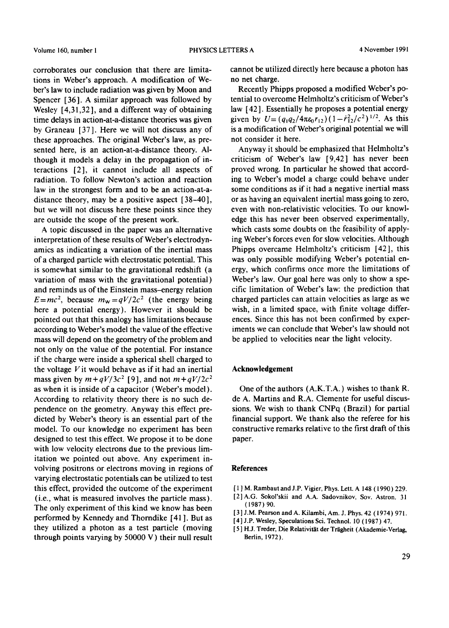corroborates our conclusion that there are limitations in Weber's approach. A modification of Weber's law to include radiation was given by Moon and Spencer [36]. A similar approach was followed by Wesley [4,31,32], and a different way of obtaining time delays in action-at-a-distance theories was given by Graneau [37]. Here we will not discuss any of these approaches. The original Weber's law, as presented here, is an action-at-a-distance theory. Although it models a delay in the propagation of interactions [2], it cannot include all aspects of radiation. To follow Newton's action and reaction law in the strongest form and to be an action-at-adistance theory, may be a positive aspect [38-40], but we will not discuss here these points since they are outside the scope of the present work.

A topic discussed in the paper was an alternative interpretation of these results of Weber's electrodynamics as indicating a variation of the inertial mass of a charged particle with electrostatic potential. This is somewhat similar to the gravitational redshift (a variation of mass with the gravitational potential) and reminds us of the Einstein mass-energy relation  $E=mc^2$ , because  $m_w=qV/2c^2$  (the energy being here a potential energy). However it should be pointed out that this analogy has limitations because according to Weber's model the value of the effective mass will depend on the geometry of the problem and not only on the value of the potential. For instance if the charge were inside a spherical shell charged to the voltage  $V$  it would behave as if it had an inertial mass given by  $m+qV/3c^2$  [9], and not  $m+qV/2c^2$ as when it is inside of a capacitor (Weber's model). According to relativity theory there is no such dependence on the geometry. Anyway this effect predicted by Weber's theory is an essential part of the model. To our knowledge no experiment has been designed to test this effect. We propose it to be done with low velocity electrons due to the previous limitation we pointed out above. Any experiment involving positrons or electrons moving in regions of varying electrostatic potentials can be utilized to test this effect, provided the outcome of the experiment (i.e., what is measured involves the particle mass). The only experiment of this kind we know has been performed by Kennedy and Thorndike [41 ]. But as they utilized a photon as a test particle (moving through points varying by 50000 V) their null result

cannot be utilized directly here because a photon has no net charge.

Recently Phipps proposed a modified Weber's potential to overcome Helmholtz's criticism of Weber's law [ 42]. Essentially he proposes a potential energy given by  $U=(q_1q_2/4\pi\epsilon_0r_{12})(1-\dot{r}_{12}^2/c^2)^{1/2}$ . As this is a modification of Weber's original potential we will not consider it here.

Anyway it should be emphasized that Helmholtz's criticism of Weber's law [9,42] has never been proved wrong. In particular he showed that according to Weber's model a charge could behave under some conditions as if it had a negative inertial mass or as having an equivalent inertial mass going to zero, even with non-relativistic velocities. To our knowledge this has never been observed experimentally, which casts some doubts on the feasibility of applying Weber's forces even for slow velocities. Although Phipps overcame Helmholtz's criticism [42], this was only possible modifying Weber's potential energy, which confirms once more the limitations of Weber's law. Our goal here was only to show a specific limitation of Weber's law: the prediction that charged particles can attain velocities as large as we wish, in a limited space, with finite voltage differences. Since this has not been confirmed by experiments we can conclude that Weber's law should not be applied to velocities near the light velocity.

### **Acknowledgement**

One of the authors (A.K.T.A.) wishes to thank R. de A. Martins and R.A. Clemente for useful discussions. We wish to thank CNPq (Brazil) for partial financial support. We thank also the referee for his constructive remarks relative to the first draft of this paper.

### **References**

- [1] M. Rambaut and J.P. Vigier, Phys. Lett. A 148 (1990) 229.
- [2]A.G. Sokol'skii and A.A. Sadovnikov, Sov. Astron. 31 ( 1987 ) 90.
- 13] J.M. Pearson and A. Kilambi, Am. J. Phys. 42 (1974) 971.
- [4] J.P. Wesley, Speculations Sci. Technol. l0 (1987) 47.
- [5] H.J. Treder, Die Relativität der Trägheit (Akademie-Verlag, Berlin, 1972).